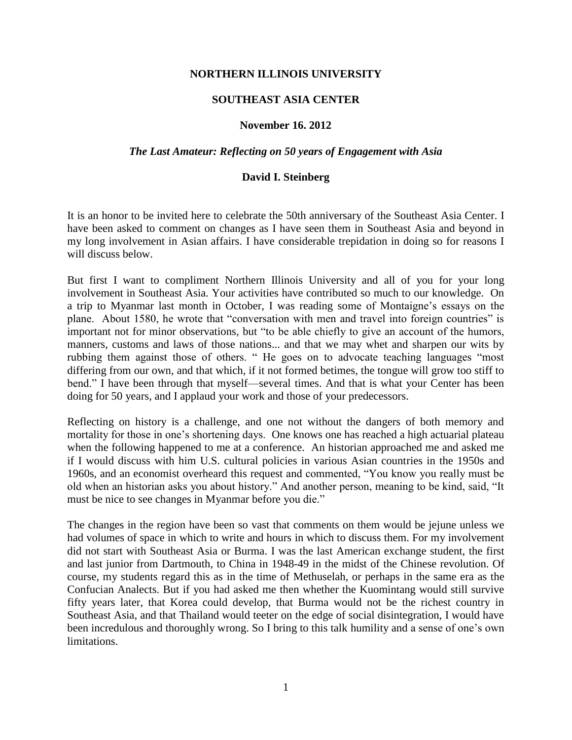# **NORTHERN ILLINOIS UNIVERSITY**

## **SOUTHEAST ASIA CENTER**

### **November 16. 2012**

#### *The Last Amateur: Reflecting on 50 years of Engagement with Asia*

### **David I. Steinberg**

It is an honor to be invited here to celebrate the 50th anniversary of the Southeast Asia Center. I have been asked to comment on changes as I have seen them in Southeast Asia and beyond in my long involvement in Asian affairs. I have considerable trepidation in doing so for reasons I will discuss below.

But first I want to compliment Northern Illinois University and all of you for your long involvement in Southeast Asia. Your activities have contributed so much to our knowledge. On a trip to Myanmar last month in October, I was reading some of Montaigne's essays on the plane. About 1580, he wrote that "conversation with men and travel into foreign countries" is important not for minor observations, but "to be able chiefly to give an account of the humors, manners, customs and laws of those nations... and that we may whet and sharpen our wits by rubbing them against those of others. " He goes on to advocate teaching languages "most differing from our own, and that which, if it not formed betimes, the tongue will grow too stiff to bend." I have been through that myself—several times. And that is what your Center has been doing for 50 years, and I applaud your work and those of your predecessors.

Reflecting on history is a challenge, and one not without the dangers of both memory and mortality for those in one's shortening days. One knows one has reached a high actuarial plateau when the following happened to me at a conference. An historian approached me and asked me if I would discuss with him U.S. cultural policies in various Asian countries in the 1950s and 1960s, and an economist overheard this request and commented, "You know you really must be old when an historian asks you about history." And another person, meaning to be kind, said, "It must be nice to see changes in Myanmar before you die."

The changes in the region have been so vast that comments on them would be jejune unless we had volumes of space in which to write and hours in which to discuss them. For my involvement did not start with Southeast Asia or Burma. I was the last American exchange student, the first and last junior from Dartmouth, to China in 1948-49 in the midst of the Chinese revolution. Of course, my students regard this as in the time of Methuselah, or perhaps in the same era as the Confucian Analects. But if you had asked me then whether the Kuomintang would still survive fifty years later, that Korea could develop, that Burma would not be the richest country in Southeast Asia, and that Thailand would teeter on the edge of social disintegration, I would have been incredulous and thoroughly wrong. So I bring to this talk humility and a sense of one's own limitations.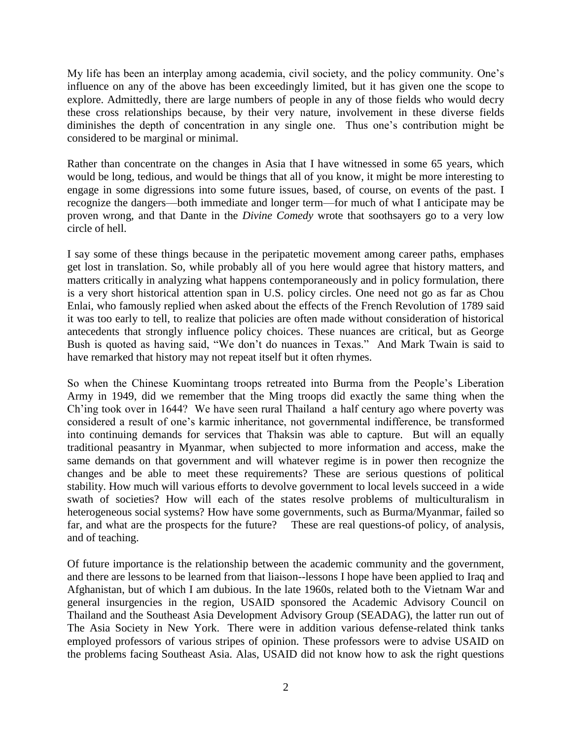My life has been an interplay among academia, civil society, and the policy community. One's influence on any of the above has been exceedingly limited, but it has given one the scope to explore. Admittedly, there are large numbers of people in any of those fields who would decry these cross relationships because, by their very nature, involvement in these diverse fields diminishes the depth of concentration in any single one. Thus one's contribution might be considered to be marginal or minimal.

Rather than concentrate on the changes in Asia that I have witnessed in some 65 years, which would be long, tedious, and would be things that all of you know, it might be more interesting to engage in some digressions into some future issues, based, of course, on events of the past. I recognize the dangers—both immediate and longer term—for much of what I anticipate may be proven wrong, and that Dante in the *Divine Comedy* wrote that soothsayers go to a very low circle of hell.

I say some of these things because in the peripatetic movement among career paths, emphases get lost in translation. So, while probably all of you here would agree that history matters, and matters critically in analyzing what happens contemporaneously and in policy formulation, there is a very short historical attention span in U.S. policy circles. One need not go as far as Chou Enlai, who famously replied when asked about the effects of the French Revolution of 1789 said it was too early to tell, to realize that policies are often made without consideration of historical antecedents that strongly influence policy choices. These nuances are critical, but as George Bush is quoted as having said, "We don't do nuances in Texas." And Mark Twain is said to have remarked that history may not repeat itself but it often rhymes.

So when the Chinese Kuomintang troops retreated into Burma from the People's Liberation Army in 1949, did we remember that the Ming troops did exactly the same thing when the Ch'ing took over in 1644? We have seen rural Thailand a half century ago where poverty was considered a result of one's karmic inheritance, not governmental indifference, be transformed into continuing demands for services that Thaksin was able to capture. But will an equally traditional peasantry in Myanmar, when subjected to more information and access, make the same demands on that government and will whatever regime is in power then recognize the changes and be able to meet these requirements? These are serious questions of political stability. How much will various efforts to devolve government to local levels succeed in a wide swath of societies? How will each of the states resolve problems of multiculturalism in heterogeneous social systems? How have some governments, such as Burma/Myanmar, failed so far, and what are the prospects for the future? These are real questions-of policy, of analysis, and of teaching.

Of future importance is the relationship between the academic community and the government, and there are lessons to be learned from that liaison--lessons I hope have been applied to Iraq and Afghanistan, but of which I am dubious. In the late 1960s, related both to the Vietnam War and general insurgencies in the region, USAID sponsored the Academic Advisory Council on Thailand and the Southeast Asia Development Advisory Group (SEADAG), the latter run out of The Asia Society in New York. There were in addition various defense-related think tanks employed professors of various stripes of opinion. These professors were to advise USAID on the problems facing Southeast Asia. Alas, USAID did not know how to ask the right questions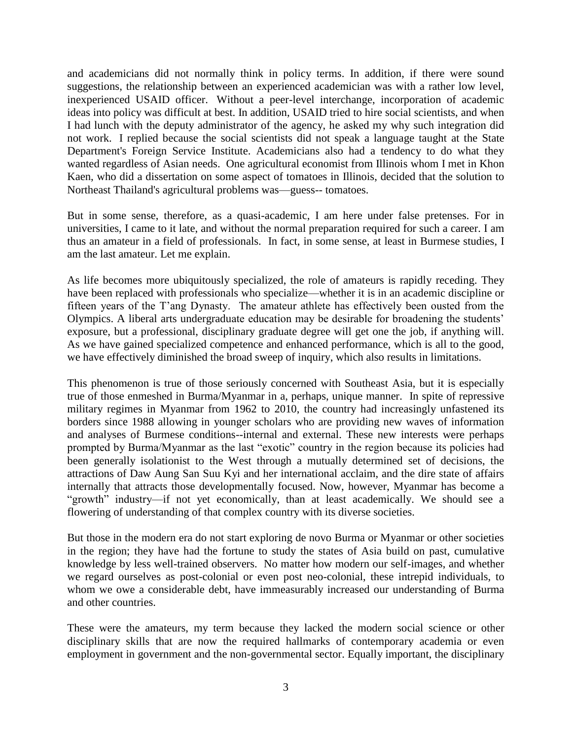and academicians did not normally think in policy terms. In addition, if there were sound suggestions, the relationship between an experienced academician was with a rather low level, inexperienced USAID officer. Without a peer-level interchange, incorporation of academic ideas into policy was difficult at best. In addition, USAID tried to hire social scientists, and when I had lunch with the deputy administrator of the agency, he asked my why such integration did not work. I replied because the social scientists did not speak a language taught at the State Department's Foreign Service Institute. Academicians also had a tendency to do what they wanted regardless of Asian needs. One agricultural economist from Illinois whom I met in Khon Kaen, who did a dissertation on some aspect of tomatoes in Illinois, decided that the solution to Northeast Thailand's agricultural problems was—guess-- tomatoes.

But in some sense, therefore, as a quasi-academic, I am here under false pretenses. For in universities, I came to it late, and without the normal preparation required for such a career. I am thus an amateur in a field of professionals. In fact, in some sense, at least in Burmese studies, I am the last amateur. Let me explain.

As life becomes more ubiquitously specialized, the role of amateurs is rapidly receding. They have been replaced with professionals who specialize—whether it is in an academic discipline or fifteen years of the T'ang Dynasty. The amateur athlete has effectively been ousted from the Olympics. A liberal arts undergraduate education may be desirable for broadening the students' exposure, but a professional, disciplinary graduate degree will get one the job, if anything will. As we have gained specialized competence and enhanced performance, which is all to the good, we have effectively diminished the broad sweep of inquiry, which also results in limitations.

This phenomenon is true of those seriously concerned with Southeast Asia, but it is especially true of those enmeshed in Burma/Myanmar in a, perhaps, unique manner. In spite of repressive military regimes in Myanmar from 1962 to 2010, the country had increasingly unfastened its borders since 1988 allowing in younger scholars who are providing new waves of information and analyses of Burmese conditions--internal and external. These new interests were perhaps prompted by Burma/Myanmar as the last "exotic" country in the region because its policies had been generally isolationist to the West through a mutually determined set of decisions, the attractions of Daw Aung San Suu Kyi and her international acclaim, and the dire state of affairs internally that attracts those developmentally focused. Now, however, Myanmar has become a "growth" industry—if not yet economically, than at least academically. We should see a flowering of understanding of that complex country with its diverse societies.

But those in the modern era do not start exploring de novo Burma or Myanmar or other societies in the region; they have had the fortune to study the states of Asia build on past, cumulative knowledge by less well-trained observers. No matter how modern our self-images, and whether we regard ourselves as post-colonial or even post neo-colonial, these intrepid individuals, to whom we owe a considerable debt, have immeasurably increased our understanding of Burma and other countries.

These were the amateurs, my term because they lacked the modern social science or other disciplinary skills that are now the required hallmarks of contemporary academia or even employment in government and the non-governmental sector. Equally important, the disciplinary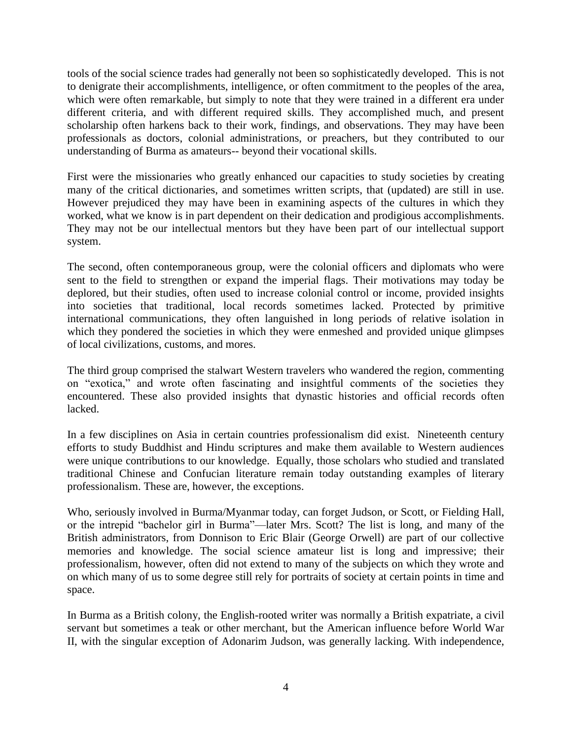tools of the social science trades had generally not been so sophisticatedly developed. This is not to denigrate their accomplishments, intelligence, or often commitment to the peoples of the area, which were often remarkable, but simply to note that they were trained in a different era under different criteria, and with different required skills. They accomplished much, and present scholarship often harkens back to their work, findings, and observations. They may have been professionals as doctors, colonial administrations, or preachers, but they contributed to our understanding of Burma as amateurs-- beyond their vocational skills.

First were the missionaries who greatly enhanced our capacities to study societies by creating many of the critical dictionaries, and sometimes written scripts, that (updated) are still in use. However prejudiced they may have been in examining aspects of the cultures in which they worked, what we know is in part dependent on their dedication and prodigious accomplishments. They may not be our intellectual mentors but they have been part of our intellectual support system.

The second, often contemporaneous group, were the colonial officers and diplomats who were sent to the field to strengthen or expand the imperial flags. Their motivations may today be deplored, but their studies, often used to increase colonial control or income, provided insights into societies that traditional, local records sometimes lacked. Protected by primitive international communications, they often languished in long periods of relative isolation in which they pondered the societies in which they were enmeshed and provided unique glimpses of local civilizations, customs, and mores.

The third group comprised the stalwart Western travelers who wandered the region, commenting on "exotica," and wrote often fascinating and insightful comments of the societies they encountered. These also provided insights that dynastic histories and official records often lacked.

In a few disciplines on Asia in certain countries professionalism did exist. Nineteenth century efforts to study Buddhist and Hindu scriptures and make them available to Western audiences were unique contributions to our knowledge. Equally, those scholars who studied and translated traditional Chinese and Confucian literature remain today outstanding examples of literary professionalism. These are, however, the exceptions.

Who, seriously involved in Burma/Myanmar today, can forget Judson, or Scott, or Fielding Hall, or the intrepid "bachelor girl in Burma"—later Mrs. Scott? The list is long, and many of the British administrators, from Donnison to Eric Blair (George Orwell) are part of our collective memories and knowledge. The social science amateur list is long and impressive; their professionalism, however, often did not extend to many of the subjects on which they wrote and on which many of us to some degree still rely for portraits of society at certain points in time and space.

In Burma as a British colony, the English-rooted writer was normally a British expatriate, a civil servant but sometimes a teak or other merchant, but the American influence before World War II, with the singular exception of Adonarim Judson, was generally lacking. With independence,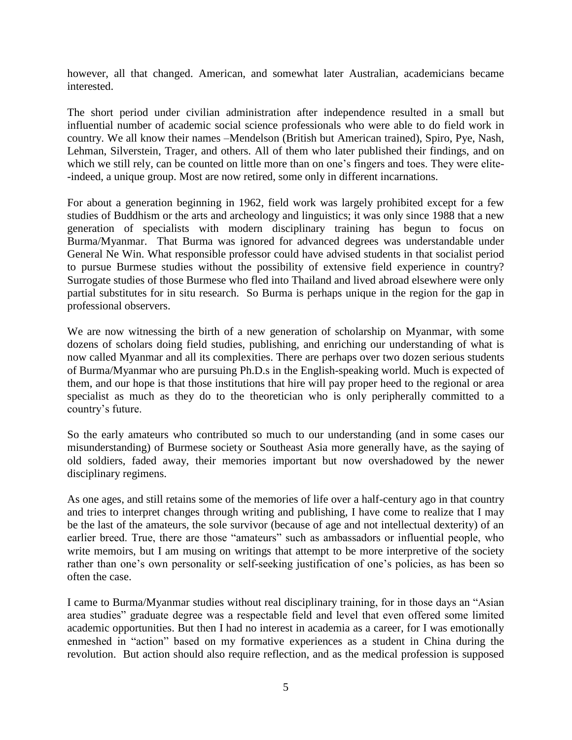however, all that changed. American, and somewhat later Australian, academicians became interested.

The short period under civilian administration after independence resulted in a small but influential number of academic social science professionals who were able to do field work in country. We all know their names –Mendelson (British but American trained), Spiro, Pye, Nash, Lehman, Silverstein, Trager, and others. All of them who later published their findings, and on which we still rely, can be counted on little more than on one's fingers and toes. They were elite- -indeed, a unique group. Most are now retired, some only in different incarnations.

For about a generation beginning in 1962, field work was largely prohibited except for a few studies of Buddhism or the arts and archeology and linguistics; it was only since 1988 that a new generation of specialists with modern disciplinary training has begun to focus on Burma/Myanmar. That Burma was ignored for advanced degrees was understandable under General Ne Win. What responsible professor could have advised students in that socialist period to pursue Burmese studies without the possibility of extensive field experience in country? Surrogate studies of those Burmese who fled into Thailand and lived abroad elsewhere were only partial substitutes for in situ research. So Burma is perhaps unique in the region for the gap in professional observers.

We are now witnessing the birth of a new generation of scholarship on Myanmar, with some dozens of scholars doing field studies, publishing, and enriching our understanding of what is now called Myanmar and all its complexities. There are perhaps over two dozen serious students of Burma/Myanmar who are pursuing Ph.D.s in the English-speaking world. Much is expected of them, and our hope is that those institutions that hire will pay proper heed to the regional or area specialist as much as they do to the theoretician who is only peripherally committed to a country's future.

So the early amateurs who contributed so much to our understanding (and in some cases our misunderstanding) of Burmese society or Southeast Asia more generally have, as the saying of old soldiers, faded away, their memories important but now overshadowed by the newer disciplinary regimens.

As one ages, and still retains some of the memories of life over a half-century ago in that country and tries to interpret changes through writing and publishing, I have come to realize that I may be the last of the amateurs, the sole survivor (because of age and not intellectual dexterity) of an earlier breed. True, there are those "amateurs" such as ambassadors or influential people, who write memoirs, but I am musing on writings that attempt to be more interpretive of the society rather than one's own personality or self-seeking justification of one's policies, as has been so often the case.

I came to Burma/Myanmar studies without real disciplinary training, for in those days an "Asian area studies" graduate degree was a respectable field and level that even offered some limited academic opportunities. But then I had no interest in academia as a career, for I was emotionally enmeshed in "action" based on my formative experiences as a student in China during the revolution. But action should also require reflection, and as the medical profession is supposed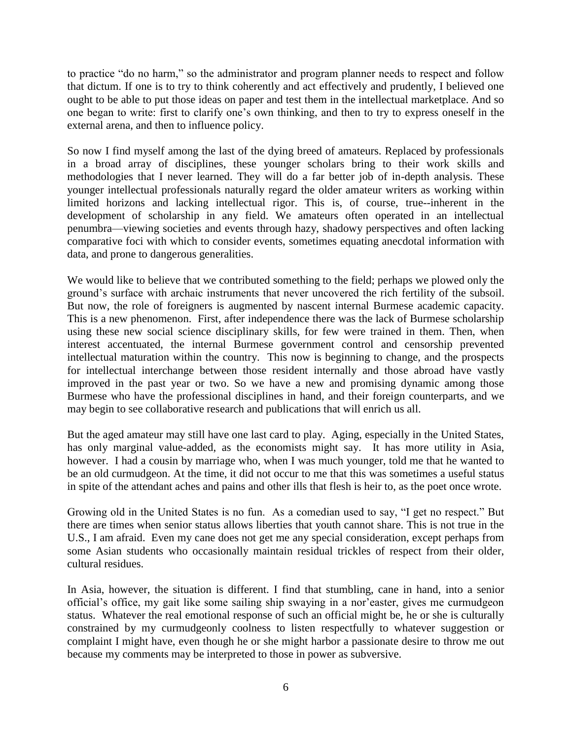to practice "do no harm," so the administrator and program planner needs to respect and follow that dictum. If one is to try to think coherently and act effectively and prudently, I believed one ought to be able to put those ideas on paper and test them in the intellectual marketplace. And so one began to write: first to clarify one's own thinking, and then to try to express oneself in the external arena, and then to influence policy.

So now I find myself among the last of the dying breed of amateurs. Replaced by professionals in a broad array of disciplines, these younger scholars bring to their work skills and methodologies that I never learned. They will do a far better job of in-depth analysis. These younger intellectual professionals naturally regard the older amateur writers as working within limited horizons and lacking intellectual rigor. This is, of course, true--inherent in the development of scholarship in any field. We amateurs often operated in an intellectual penumbra—viewing societies and events through hazy, shadowy perspectives and often lacking comparative foci with which to consider events, sometimes equating anecdotal information with data, and prone to dangerous generalities.

We would like to believe that we contributed something to the field; perhaps we plowed only the ground's surface with archaic instruments that never uncovered the rich fertility of the subsoil. But now, the role of foreigners is augmented by nascent internal Burmese academic capacity. This is a new phenomenon. First, after independence there was the lack of Burmese scholarship using these new social science disciplinary skills, for few were trained in them. Then, when interest accentuated, the internal Burmese government control and censorship prevented intellectual maturation within the country. This now is beginning to change, and the prospects for intellectual interchange between those resident internally and those abroad have vastly improved in the past year or two. So we have a new and promising dynamic among those Burmese who have the professional disciplines in hand, and their foreign counterparts, and we may begin to see collaborative research and publications that will enrich us all.

But the aged amateur may still have one last card to play. Aging, especially in the United States, has only marginal value-added, as the economists might say. It has more utility in Asia, however. I had a cousin by marriage who, when I was much younger, told me that he wanted to be an old curmudgeon. At the time, it did not occur to me that this was sometimes a useful status in spite of the attendant aches and pains and other ills that flesh is heir to, as the poet once wrote.

Growing old in the United States is no fun. As a comedian used to say, "I get no respect." But there are times when senior status allows liberties that youth cannot share. This is not true in the U.S., I am afraid. Even my cane does not get me any special consideration, except perhaps from some Asian students who occasionally maintain residual trickles of respect from their older, cultural residues.

In Asia, however, the situation is different. I find that stumbling, cane in hand, into a senior official's office, my gait like some sailing ship swaying in a nor'easter, gives me curmudgeon status. Whatever the real emotional response of such an official might be, he or she is culturally constrained by my curmudgeonly coolness to listen respectfully to whatever suggestion or complaint I might have, even though he or she might harbor a passionate desire to throw me out because my comments may be interpreted to those in power as subversive.